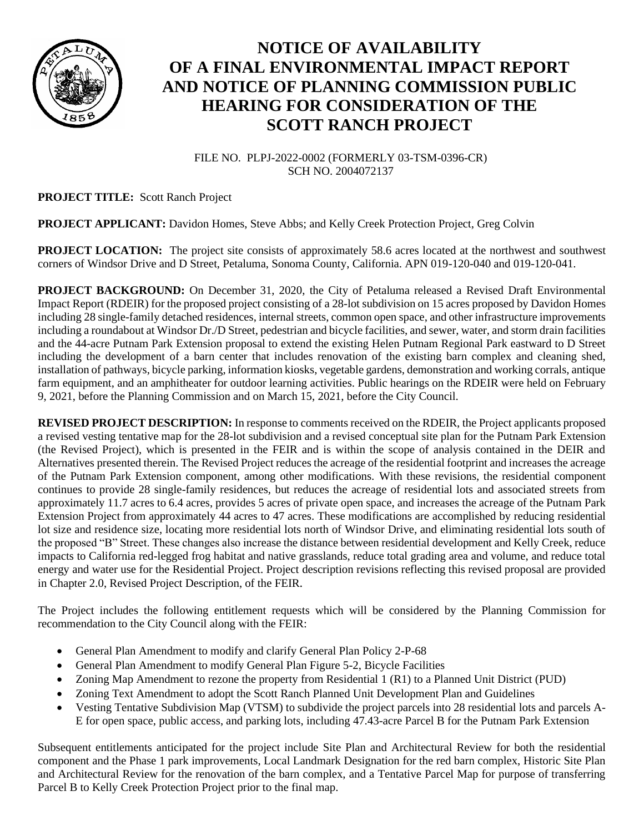

## **NOTICE OF AVAILABILITY OF A FINAL ENVIRONMENTAL IMPACT REPORT AND NOTICE OF PLANNING COMMISSION PUBLIC HEARING FOR CONSIDERATION OF THE SCOTT RANCH PROJECT**

FILE NO. PLPJ-2022-0002 (FORMERLY 03-TSM-0396-CR) SCH NO. 2004072137

## **PROJECT TITLE:** Scott Ranch Project

## **PROJECT APPLICANT:** Davidon Homes, Steve Abbs; and Kelly Creek Protection Project, Greg Colvin

**PROJECT LOCATION:** The project site consists of approximately 58.6 acres located at the northwest and southwest corners of Windsor Drive and D Street, Petaluma, Sonoma County, California. APN 019-120-040 and 019-120-041.

**PROJECT BACKGROUND:** On December 31, 2020, the City of Petaluma released a Revised Draft Environmental Impact Report (RDEIR) for the proposed project consisting of a 28-lot subdivision on 15 acres proposed by Davidon Homes including 28 single-family detached residences, internal streets, common open space, and other infrastructure improvements including a roundabout at Windsor Dr./D Street, pedestrian and bicycle facilities, and sewer, water, and storm drain facilities and the 44-acre Putnam Park Extension proposal to extend the existing Helen Putnam Regional Park eastward to D Street including the development of a barn center that includes renovation of the existing barn complex and cleaning shed, installation of pathways, bicycle parking, information kiosks, vegetable gardens, demonstration and working corrals, antique farm equipment, and an amphitheater for outdoor learning activities. Public hearings on the RDEIR were held on February 9, 2021, before the Planning Commission and on March 15, 2021, before the City Council.

**REVISED PROJECT DESCRIPTION:** In response to comments received on the RDEIR, the Project applicants proposed a revised vesting tentative map for the 28-lot subdivision and a revised conceptual site plan for the Putnam Park Extension (the Revised Project), which is presented in the FEIR and is within the scope of analysis contained in the DEIR and Alternatives presented therein. The Revised Project reduces the acreage of the residential footprint and increases the acreage of the Putnam Park Extension component, among other modifications. With these revisions, the residential component continues to provide 28 single-family residences, but reduces the acreage of residential lots and associated streets from approximately 11.7 acres to 6.4 acres, provides 5 acres of private open space, and increases the acreage of the Putnam Park Extension Project from approximately 44 acres to 47 acres. These modifications are accomplished by reducing residential lot size and residence size, locating more residential lots north of Windsor Drive, and eliminating residential lots south of the proposed "B" Street. These changes also increase the distance between residential development and Kelly Creek, reduce impacts to California red-legged frog habitat and native grasslands, reduce total grading area and volume, and reduce total energy and water use for the Residential Project. Project description revisions reflecting this revised proposal are provided in Chapter 2.0, Revised Project Description, of the FEIR.

The Project includes the following entitlement requests which will be considered by the Planning Commission for recommendation to the City Council along with the FEIR:

- General Plan Amendment to modify and clarify General Plan Policy 2-P-68
- General Plan Amendment to modify General Plan Figure 5-2, Bicycle Facilities
- Zoning Map Amendment to rezone the property from Residential 1 (R1) to a Planned Unit District (PUD)
- Zoning Text Amendment to adopt the Scott Ranch Planned Unit Development Plan and Guidelines
- Vesting Tentative Subdivision Map (VTSM) to subdivide the project parcels into 28 residential lots and parcels A-E for open space, public access, and parking lots, including 47.43-acre Parcel B for the Putnam Park Extension

Subsequent entitlements anticipated for the project include Site Plan and Architectural Review for both the residential component and the Phase 1 park improvements, Local Landmark Designation for the red barn complex, Historic Site Plan and Architectural Review for the renovation of the barn complex, and a Tentative Parcel Map for purpose of transferring Parcel B to Kelly Creek Protection Project prior to the final map.